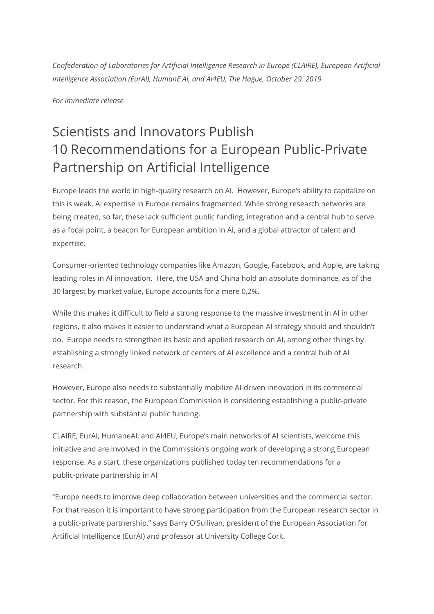*Confederation of Laboratories for Artificial Intelligence Research in Europe (CLAIRE), European Artificial Intelligence Association (EurAI), HumanE AI, and AI4EU, The Hague, October 29, 2019*

*For immediate release*

# Scientists and Innovators Publish 10 Recommendations for a European Public-Private Partnership on Artificial Intelligence

Europe leads the world in high-quality research on AI. However, Europe's ability to capitalize on this is weak. AI expertise in Europe remains fragmented. While strong research networks are being created, so far, these lack sufficient public funding, integration and a central hub to serve as a focal point, a beacon for European ambition in AI, and a global attractor of talent and expertise.

Consumer-oriented technology companies like Amazon, Google, Facebook, and Apple, are taking leading roles in AI innovation. Here, the USA and China hold an absolute dominance, as of the 30 largest by market value, Europe accounts for a mere 0,2%.

While this makes it difficult to field a strong response to the massive investment in AI in other regions, it also makes it easier to understand what a European AI strategy should and shouldn't do. Europe needs to strengthen its basic and applied research on AI, among other things by establishing a strongly linked network of centers of AI excellence and a central hub of AI research.

However, Europe also needs to substantially mobilize AI-driven innovation in its commercial sector. For this reason, the European Commission is considering establishing a public-private partnership with substantial public funding.

CLAIRE, EurAI, HumaneAI, and AI4EU, Europe's main networks of AI scientists, welcome this initiative and are involved in the Commission's ongoing work of developing a strong European response. As a start, these organizations published today ten recommendations for a public-private partnership in AI

"Europe needs to improve deep collaboration between universities and the commercial sector. For that reason it is important to have strong participation from the European research sector in a public-private partnership," says Barry O'Sullivan, president of the European Association for Artificial Intelligence (EurAI) and professor at University College Cork.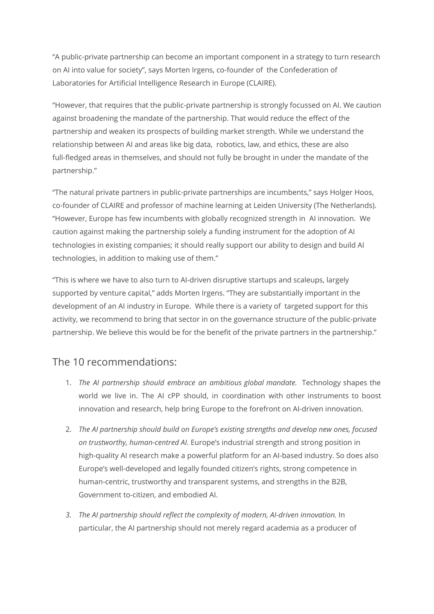"A public-private partnership can become an important component in a strategy to turn research on AI into value for society", says Morten Irgens, co-founder of the Confederation of Laboratories for Artificial Intelligence Research in Europe (CLAIRE).

"However, that requires that the public-private partnership is strongly focussed on AI. We caution against broadening the mandate of the partnership. That would reduce the effect of the partnership and weaken its prospects of building market strength. While we understand the relationship between AI and areas like big data, robotics, law, and ethics, these are also full-fledged areas in themselves, and should not fully be brought in under the mandate of the partnership."

"The natural private partners in public-private partnerships are incumbents," says Holger Hoos, co-founder of CLAIRE and professor of machine learning at Leiden University (The Netherlands). "However, Europe has few incumbents with globally recognized strength in AI innovation. We caution against making the partnership solely a funding instrument for the adoption of AI technologies in existing companies; it should really support our ability to design and build AI technologies, in addition to making use of them."

"This is where we have to also turn to AI-driven disruptive startups and scaleups, largely supported by venture capital," adds Morten Irgens. "They are substantially important in the development of an AI industry in Europe. While there is a variety of targeted support for this activity, we recommend to bring that sector in on the governance structure of the public-private partnership. We believe this would be for the benefit of the private partners in the partnership."

## The 10 recommendations:

- 1. *The AI partnership should embrace an ambitious global mandate.* Technology shapes the world we live in. The AI cPP should, in coordination with other instruments to boost innovation and research, help bring Europe to the forefront on AI-driven innovation.
- 2. *The AI partnership should build on Europe's existing strengths and develop new ones, focused on trustworthy, human-centred AI.* Europe's industrial strength and strong position in high-quality AI research make a powerful platform for an AI-based industry. So does also Europe's well-developed and legally founded citizen's rights, strong competence in human-centric, trustworthy and transparent systems, and strengths in the B2B, Government to-citizen, and embodied AI.
- *3. The AI partnership should reflect the complexity of modern, AI-driven innovation.* In particular, the AI partnership should not merely regard academia as a producer of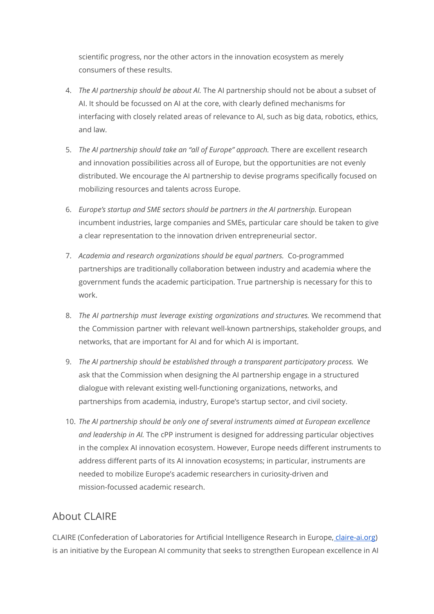scientific progress, nor the other actors in the innovation ecosystem as merely consumers of these results.

- 4. *The AI partnership should be about AI.* The AI partnership should not be about a subset of AI. It should be focussed on AI at the core, with clearly defined mechanisms for interfacing with closely related areas of relevance to AI, such as big data, robotics, ethics, and law.
- 5. *The AI partnership should take an "all of Europe" approach.* There are excellent research and innovation possibilities across all of Europe, but the opportunities are not evenly distributed. We encourage the AI partnership to devise programs specifically focused on mobilizing resources and talents across Europe.
- 6. *Europe's startup and SME sectors should be partners in the AI partnership.* European incumbent industries, large companies and SMEs, particular care should be taken to give a clear representation to the innovation driven entrepreneurial sector.
- 7. *Academia and research organizations should be equal partners.* Co-programmed partnerships are traditionally collaboration between industry and academia where the government funds the academic participation. True partnership is necessary for this to work.
- 8. *The AI partnership must leverage existing organizations and structures.* We recommend that the Commission partner with relevant well-known partnerships, stakeholder groups, and networks, that are important for AI and for which AI is important.
- 9. *The AI partnership should be established through a transparent participatory process.* We ask that the Commission when designing the AI partnership engage in a structured dialogue with relevant existing well-functioning organizations, networks, and partnerships from academia, industry, Europe's startup sector, and civil society.
- 10. *The AI partnership should be only one of several instruments aimed at European excellence and leadership in AI.* The cPP instrument is designed for addressing particular objectives in the complex AI innovation ecosystem. However, Europe needs different instruments to address different parts of its AI innovation ecosystems; in particular, instruments are needed to mobilize Europe's academic researchers in curiosity-driven and mission-focussed academic research.

# About CLAIRE

CLAIRE (Confederation of Laboratories for Artificial Intelligence Research in Europe, [claire-ai.org\)](https://claire-ai.org/) is an initiative by the European AI community that seeks to strengthen European excellence in AI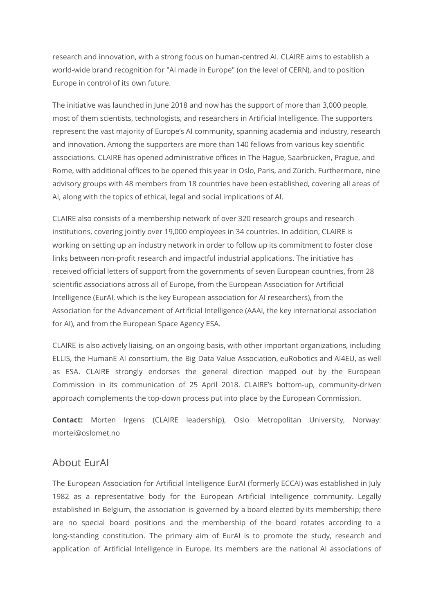research and innovation, with a strong focus on human-centred AI. CLAIRE aims to establish a world-wide brand recognition for "AI made in Europe" (on the level of CERN), and to position Europe in control of its own future.

The initiative was launched in June 2018 and now has the support of more than 3,000 people, most of them scientists, technologists, and researchers in Artificial Intelligence. The supporters represent the vast majority of Europe's AI community, spanning academia and industry, research and innovation. Among the supporters are more than 140 fellows from various key scientific associations. CLAIRE has opened administrative offices in The Hague, Saarbrücken, Prague, and Rome, with additional offices to be opened this year in Oslo, Paris, and Zürich. Furthermore, nine advisory groups with 48 members from 18 countries have been established, covering all areas of AI, along with the topics of ethical, legal and social implications of AI.

CLAIRE also consists of a membership network of over 320 research groups and research institutions, covering jointly over 19,000 employees in 34 countries. In addition, CLAIRE is working on setting up an industry network in order to follow up its commitment to foster close links between non-profit research and impactful industrial applications. The initiative has received official letters of support from the governments of seven European countries, from 28 scientific associations across all of Europe, from the European Association for Artificial Intelligence (EurAI, which is the key European association for AI researchers), from the Association for the Advancement of Artificial Intelligence (AAAI, the key international association for AI), and from the European Space Agency ESA.

CLAIRE is also actively liaising, on an ongoing basis, with other important organizations, including ELLIS, the HumanE AI consortium, the Big Data Value Association, euRobotics and AI4EU, as well as ESA. CLAIRE strongly endorses the general direction mapped out by the European Commission in its communication of 25 April 2018. CLAIRE's bottom-up, community-driven approach complements the top-down process put into place by the European Commission.

**Contact:** Morten Irgens (CLAIRE leadership), Oslo Metropolitan University, Norway: mortei@oslomet.no

#### About EurAI

The European Association for Artificial Intelligence EurAI (formerly ECCAI) was established in July 1982 as a representative body for the European Artificial Intelligence community. Legally established in Belgium, the association is governed by a board elected by its membership; there are no special board positions and the membership of the board rotates according to a long-standing constitution. The primary aim of EurAI is to promote the study, research and application of Artificial Intelligence in Europe. Its members are the national AI associations of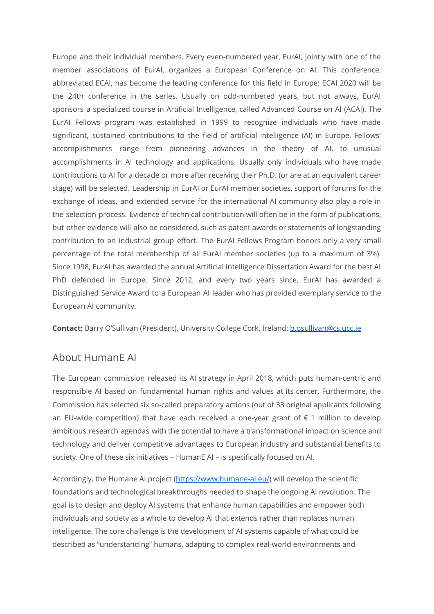Europe and their individual members. Every even-numbered year, EurAI, jointly with one of the member associations of EurAI, organizes a European Conference on AI. This conference, abbreviated ECAI, has become the leading conference for this field in Europe: ECAI 2020 will be the 24th conference in the series. Usually on odd-numbered years, but not always, EurAI sponsors a specialized course in Artificial Intelligence, called Advanced Course on AI (ACAI). The EurAI Fellows program was established in 1999 to recognize individuals who have made significant, sustained contributions to the field of artificial intelligence (AI) in Europe. Fellows' accomplishments range from pioneering advances in the theory of AI, to unusual accomplishments in AI technology and applications. Usually only individuals who have made contributions to AI for a decade or more after receiving their Ph.D. (or are at an equivalent career stage) will be selected. Leadership in EurAI or EurAI member societies, support of forums for the exchange of ideas, and extended service for the international AI community also play a role in the selection process. Evidence of technical contribution will often be in the form of publications, but other evidence will also be considered, such as patent awards or statements of longstanding contribution to an industrial group effort. The EurAI Fellows Program honors only a very small percentage of the total membership of all EurAI member societies (up to a maximum of 3%). Since 1998, EurAI has awarded the annual Artificial Intelligence Dissertation Award for the best AI PhD defended in Europe. Since 2012, and every two years since, EurAI has awarded a Distinguished Service Award to a European AI leader who has provided exemplary service to the European AI community.

**Contact:** Barry O'Sullivan (President), University College Cork, Ireland: [b.osullivan@cs.ucc.ie](mailto:b.osullivan@cs.ucc.ie)

## About HumanE AI

The European commission released its AI strategy in April 2018, which puts human-centric and responsible AI based on fundamental human rights and values at its center. Furthermore, the Commission has selected six so-called preparatory actions (out of 33 original applicants following an EU-wide competition) that have each received a one-year grant of  $\epsilon$  1 million to develop ambitious research agendas with the potential to have a transformational impact on science and technology and deliver competitive advantages to European industry and substantial benefits to society. One of these six initiatives – HumanE AI – is specifically focused on AI.

Accordingly, the Humane AI project ([https://www.humane-ai.eu/\)](https://www.humane-ai.eu/) will develop the scientific foundations and technological breakthroughs needed to shape the ongoing AI revolution. The goal is to design and deploy AI systems that enhance human capabilities and empower both individuals and society as a whole to develop AI that extends rather than replaces human intelligence. The core challenge is the development of AI systems capable of what could be described as "understanding" humans, adapting to complex real-world environments and